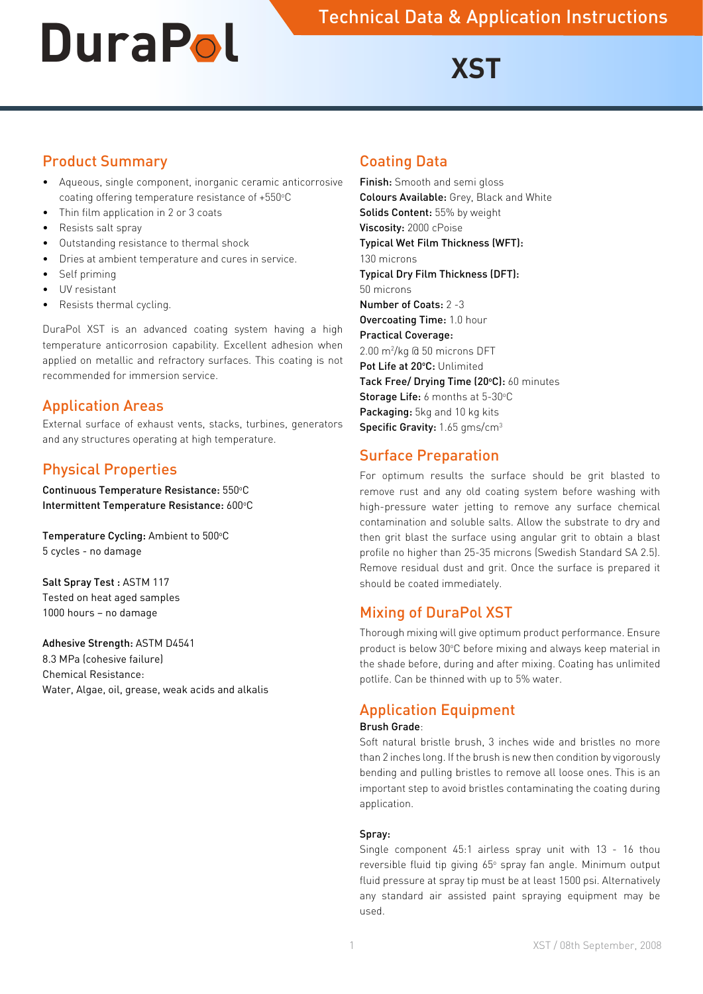# **DUFAPOL** Technical Data & Application Instructions

# **XST**

#### Product Summary

- • Aqueous, single component, inorganic ceramic anticorrosive coating offering temperature resistance of +550°C
- Thin film application in 2 or 3 coats
- Resists salt spray
- Outstanding resistance to thermal shock
- Dries at ambient temperature and cures in service.
- Self priming
- UV resistant
- Resists thermal cycling.

DuraPol XST is an advanced coating system having a high temperature anticorrosion capability. Excellent adhesion when applied on metallic and refractory surfaces. This coating is not recommended for immersion service.

#### Application Areas

External surface of exhaust vents, stacks, turbines, generators and any structures operating at high temperature.

# Physical Properties

Continuous Temperature Resistance: 550°C Intermittent Temperature Resistance: 600°C

Temperature Cycling: Ambient to 500°C 5 cycles - no damage

Salt Spray Test : ASTM 117 Tested on heat aged samples 1000 hours – no damage

#### Adhesive Strength: ASTM D4541 8.3 MPa (cohesive failure)

Chemical Resistance: Water, Algae, oil, grease, weak acids and alkalis

#### Coating Data

Finish: Smooth and semi gloss Colours Available: Grey, Black and White Solids Content: 55% by weight Viscosity: 2000 cPoise Typical Wet Film Thickness (WFT): 130 microns Typical Dry Film Thickness (DFT): 50 microns Number of Coats: 2 -3 Overcoating Time: 1.0 hour Practical Coverage: 2.00 m2 /kg @ 50 microns DFT Pot Life at 20°C: Unlimited Tack Free/ Drying Time (20°C): 60 minutes Storage Life: 6 months at 5-30°C Packaging: 5kg and 10 kg kits Specific Gravity: 1.65 gms/cm<sup>3</sup>

# Surface Preparation

For optimum results the surface should be grit blasted to remove rust and any old coating system before washing with high-pressure water jetting to remove any surface chemical contamination and soluble salts. Allow the substrate to dry and then grit blast the surface using angular grit to obtain a blast profile no higher than 25-35 microns (Swedish Standard SA 2.5). Remove residual dust and grit. Once the surface is prepared it should be coated immediately.

### Mixing of DuraPol XST

Thorough mixing will give optimum product performance. Ensure product is below 30°C before mixing and always keep material in the shade before, during and after mixing. Coating has unlimited potlife. Can be thinned with up to 5% water.

### Application Equipment

#### Brush Grade:

Soft natural bristle brush, 3 inches wide and bristles no more than 2 inches long. If the brush is new then condition by vigorously bending and pulling bristles to remove all loose ones. This is an important step to avoid bristles contaminating the coating during application.

#### Spray:

Single component 45:1 airless spray unit with 13 - 16 thou reversible fluid tip giving 65° spray fan angle. Minimum output fluid pressure at spray tip must be at least 1500 psi. Alternatively any standard air assisted paint spraying equipment may be used.